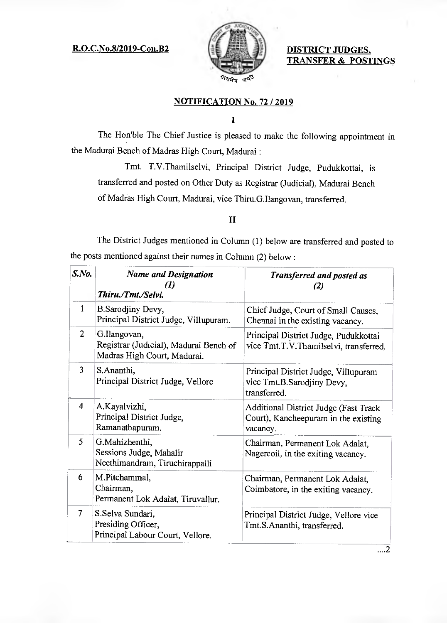## R.O.C.No.8/2019-Con.B2 **DISTRICT JUDGES,**



**TRANSFER & POSTINGS** 

## **NOTIFICATION No. 72 / 2019**

## $\mathbf I$

The Hon'ble The Chief Justice is pleased to make the following appointment in the Madurai Bench of Madras High Court, Madurai :

Tmt. T.V.Thamilselvi, Principal District Judge, Pudukkottai, is transferred and posted on Other Duty as Registrar (Judicial), Madurai Bench of Madras High Court, Madurai, vice Thiru.G Ilangovan, transferred.

## II

The District Judges mentioned in Column (1) below are transferred and posted to the posts mentioned against their names in Column (2) below:

| S.No.          | <b>Name and Designation</b><br>(1)<br>Thiru./Tmt./Selvi.                              | <b>Transferred and posted as</b><br>(2)                                                   |
|----------------|---------------------------------------------------------------------------------------|-------------------------------------------------------------------------------------------|
| 1              | B.Sarodjiny Devy,<br>Principal District Judge, Villupuram.                            | Chief Judge, Court of Small Causes,<br>Chennai in the existing vacancy.                   |
| $\overline{2}$ | G.Ilangovan,<br>Registrar (Judicial), Madurai Bench of<br>Madras High Court, Madurai. | Principal District Judge, Pudukkottai<br>vice Tmt.T.V.Thamilselvi, transferred.           |
| 3              | S.Ananthi,<br>Principal District Judge, Vellore                                       | Principal District Judge, Villupuram<br>vice Tmt.B.Sarodjiny Devy.<br>transferred.        |
| 4              | A.Kayalvizhi,<br>Principal District Judge,<br>Ramanathapuram.                         | Additional District Judge (Fast Track<br>Court), Kancheepuram in the existing<br>vacancy. |
| 5              | G.Mahizhenthi,<br>Sessions Judge, Mahalir<br>Neethimandram, Tiruchirappalli           | Chairman, Permanent Lok Adalat,<br>Nagercoil, in the exiting vacancy.                     |
| 6              | M.Pitchammal,<br>Chairman,<br>Permanent Lok Adalat, Tiruvallur.                       | Chairman, Permanent Lok Adalat,<br>Coimbatore, in the exiting vacancy.                    |
| 7              | S.Selva Sundari,<br>Presiding Officer,<br>Principal Labour Court, Vellore.            | Principal District Judge, Vellore vice<br>Tmt.S.Ananthi, transferred.                     |

 $\overline{\ldots 2}$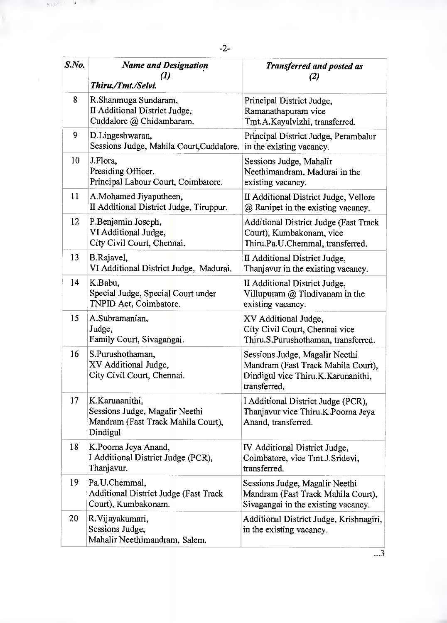| S.No.           | <b>Name and Designation</b><br>(1)<br>Thiru./Tmt./Selvi.                                           | <b>Transferred and posted as</b><br>$\left( 2\right)$                                                                      |
|-----------------|----------------------------------------------------------------------------------------------------|----------------------------------------------------------------------------------------------------------------------------|
| 8               | R.Shanmuga Sundaram,<br>II Additional District Judge,<br>Cuddalore @ Chidambaram.                  | Principal District Judge,<br>Ramanathapuram vice<br>Tmt.A.Kayalvizhi, transferred.                                         |
| 9               | D.Lingeshwaran,<br>Sessions Judge, Mahila Court, Cuddalore.                                        | Principal District Judge, Perambalur<br>in the existing vacancy.                                                           |
| 10              | J.Flora,<br>Presiding Officer,<br>Principal Labour Court, Coimbatore.                              | Sessions Judge, Mahalir<br>Neethimandram, Madurai in the<br>existing vacancy.                                              |
| 11              | A.Mohamed Jiyaputheen,<br>II Additional District Judge, Tiruppur.                                  | II Additional District Judge, Vellore<br>@ Ranipet in the existing vacancy.                                                |
| 12              | P.Benjamin Joseph,<br>VI Additional Judge,<br>City Civil Court, Chennai.                           | Additional District Judge (Fast Track<br>Court), Kumbakonam, vice<br>Thiru.Pa.U.Chemmal, transferred.                      |
| 13              | B.Rajavel,<br>VI Additional District Judge, Madurai.                                               | II Additional District Judge,<br>Thanjavur in the existing vacancy.                                                        |
| $\overline{14}$ | K.Babu,<br>Special Judge, Special Court under<br>TNPID Act, Coimbatore.                            | II Additional District Judge,<br>Villupuram $@$ Tindivanam in the<br>existing vacancy.                                     |
| 15              | A.Subramanian,<br>Judge,<br>Family Court, Sivagangai.                                              | XV Additional Judge,<br>City Civil Court, Chennai vice<br>Thiru.S.Purushothaman, transferred.                              |
| 16              | S.Purushothaman,<br>XV Additional Judge,<br>City Civil Court, Chennai.                             | Sessions Judge, Magalir Neethi<br>Mandram (Fast Track Mahila Court),<br>Dindigul vice Thiru.K.Karunanithi,<br>transferred. |
| 17              | K.Karunanithi.<br>Sessions Judge, Magalir Neethi<br>Mandram (Fast Track Mahila Court),<br>Dindigul | I Additional District Judge (PCR),<br>Thanjavur vice Thiru.K.Poorna Jeya<br>Anand, transferred.                            |
| 18              | K.Poorna Jeya Anand,<br>I Additional District Judge (PCR),<br>Thanjavur.                           | IV Additional District Judge,<br>Coimbatore, vice Tmt.J.Sridevi,<br>transferred.                                           |
| 19              | Pa.U.Chemmal,<br>Additional District Judge (Fast Track<br>Court), Kumbakonam.                      | Sessions Judge, Magalir Neethi<br>Mandram (Fast Track Mahila Court),<br>Sivagangai in the existing vacancy.                |
| 20              | R. Vijayakumari,<br>Sessions Judge,<br>Mahalir Neethimandram, Salem.                               | Additional District Judge, Krishnagiri,<br>in the existing vacancy.                                                        |

8.53

 $\overrightarrow{.3}$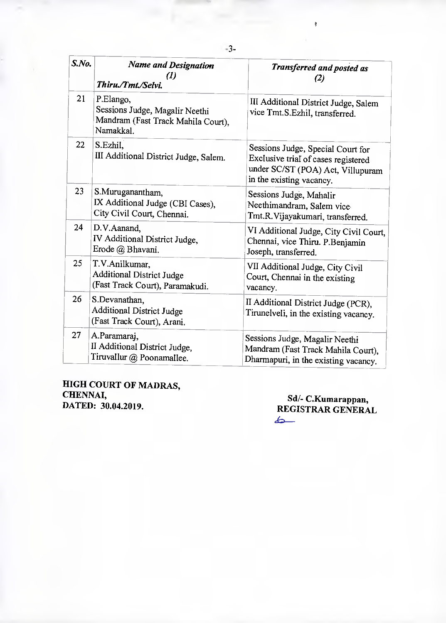| S.No. | <b>Name and Designation</b><br>(I l<br>Thiru./Tmt./Selvi.                                      | <b>Transferred and posted as</b><br>(2)                                                                                                   |
|-------|------------------------------------------------------------------------------------------------|-------------------------------------------------------------------------------------------------------------------------------------------|
| 21    | P.Elango,<br>Sessions Judge, Magalir Neethi<br>Mandram (Fast Track Mahila Court),<br>Namakkal. | III Additional District Judge, Salem<br>vice Tmt.S.Ezhil, transferred.                                                                    |
| 22    | S.Ezhil,<br>III Additional District Judge, Salem.                                              | Sessions Judge, Special Court for<br>Exclusive trial of cases registered<br>under SC/ST (POA) Act, Villupuram<br>in the existing vacancy. |
| 23    | S.Muruganantham,<br>IX Additional Judge (CBI Cases),<br>City Civil Court, Chennai.             | Sessions Judge, Mahalir<br>Neethimandram, Salem vice<br>Tmt.R.Vijayakumari, transferred.                                                  |
| 24    | D.V.Aanand.<br>IV Additional District Judge,<br>Erode @ Bhavani.                               | VI Additional Judge, City Civil Court,<br>Chennai, vice Thiru. P.Benjamin<br>Joseph, transferred.                                         |
| 25    | T.V.Anilkumar,<br><b>Additional District Judge</b><br>(Fast Track Court), Paramakudi.          | VII Additional Judge, City Civil<br>Court, Chennai in the existing<br>vacancy.                                                            |
| 26    | S.Devanathan,<br><b>Additional District Judge</b><br>(Fast Track Court), Arani.                | II Additional District Judge (PCR),<br>Tirunelveli, in the existing vacancy.                                                              |
| 27    | A.Paramaraj,<br>II Additional District Judge,<br>Tiruvallur @ Poonamallee.                     | Sessions Judge, Magalir Neethi<br>Mandram (Fast Track Mahila Court),<br>Dharmapuri, in the existing vacancy.                              |

**HIGH COURT OF MADRAS, CHENNAI, DATED: 30.04.2019.** 

**Sd/- C.Kumarappan, REGISTRAR GENERAL** 

 $\frac{1}{2}$